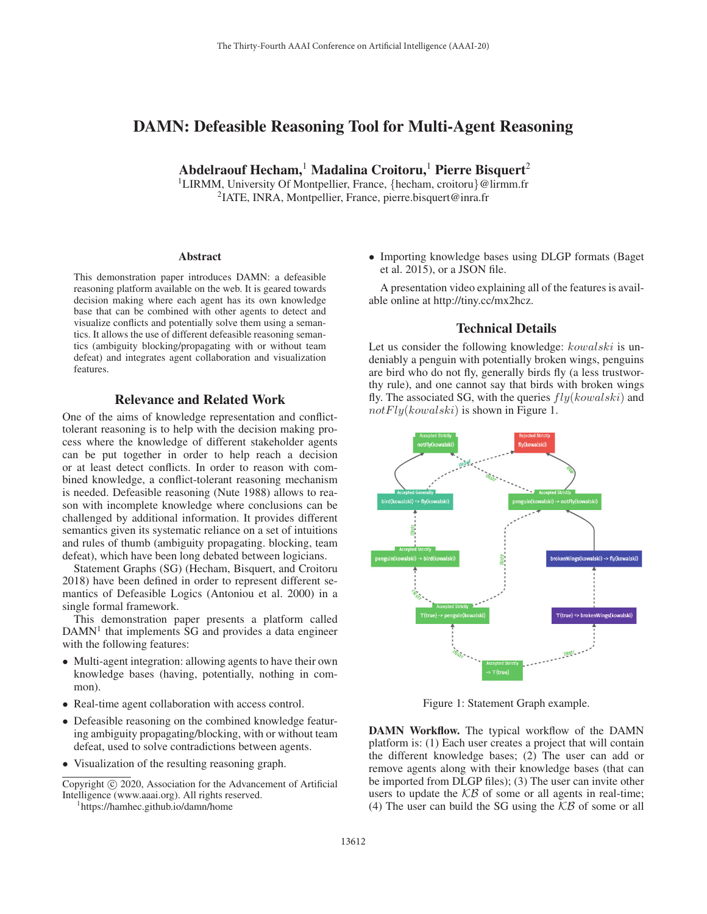# DAMN: Defeasible Reasoning Tool for Multi-Agent Reasoning

Abdelraouf Hecham, Madalina Croitoru, Pierre Bisquert<sup>2</sup>

<sup>1</sup>LIRMM, University Of Montpellier, France, {hecham, croitoru}@lirmm.fr 2IATE, INRA, Montpellier, France, pierre.bisquert@inra.fr

#### **Abstract**

This demonstration paper introduces DAMN: a defeasible reasoning platform available on the web. It is geared towards decision making where each agent has its own knowledge base that can be combined with other agents to detect and visualize conflicts and potentially solve them using a semantics. It allows the use of different defeasible reasoning semantics (ambiguity blocking/propagating with or without team defeat) and integrates agent collaboration and visualization features.

# Relevance and Related Work

One of the aims of knowledge representation and conflicttolerant reasoning is to help with the decision making process where the knowledge of different stakeholder agents can be put together in order to help reach a decision or at least detect conflicts. In order to reason with combined knowledge, a conflict-tolerant reasoning mechanism is needed. Defeasible reasoning (Nute 1988) allows to reason with incomplete knowledge where conclusions can be challenged by additional information. It provides different semantics given its systematic reliance on a set of intuitions and rules of thumb (ambiguity propagating. blocking, team defeat), which have been long debated between logicians.

Statement Graphs (SG) (Hecham, Bisquert, and Croitoru 2018) have been defined in order to represent different semantics of Defeasible Logics (Antoniou et al. 2000) in a single formal framework.

This demonstration paper presents a platform called  $DAMN<sup>1</sup>$  that implements SG and provides a data engineer with the following features:

- Multi-agent integration: allowing agents to have their own knowledge bases (having, potentially, nothing in common).
- Real-time agent collaboration with access control.
- Defeasible reasoning on the combined knowledge featuring ambiguity propagating/blocking, with or without team defeat, used to solve contradictions between agents.
- Visualization of the resulting reasoning graph.

Copyright  $\odot$  2020, Association for the Advancement of Artificial Intelligence (www.aaai.org). All rights reserved.

https://hamhec.github.io/damn/home

• Importing knowledge bases using DLGP formats (Baget et al. 2015), or a JSON file.

A presentation video explaining all of the features is available online at http://tiny.cc/mx2hcz.

### Technical Details

Let us consider the following knowledge:  $kowalski$  is undeniably a penguin with potentially broken wings, penguins are bird who do not fly, generally birds fly (a less trustworthy rule), and one cannot say that birds with broken wings fly. The associated SG, with the queries  $fly(kowski)$  and  $notFly(kowalski)$  is shown in Figure 1.



Figure 1: Statement Graph example.

DAMN Workflow. The typical workflow of the DAMN platform is: (1) Each user creates a project that will contain the different knowledge bases; (2) The user can add or remove agents along with their knowledge bases (that can be imported from DLGP files); (3) The user can invite other users to update the  $KB$  of some or all agents in real-time; (4) The user can build the SG using the  $KB$  of some or all